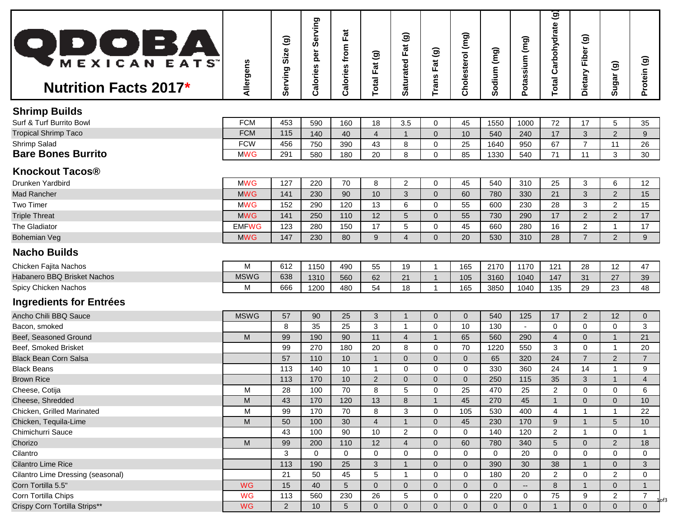| <b>QDOBA</b><br><b>Nutrition Facts 2017*</b> | Allergens    | ම<br>Size<br>Serving | Serving<br>per<br>Calories | <b>Calories from Fat</b> | Fat (g)<br>$ $ lsto <sup>-</sup> | $\widehat{\mathbf{e}}$<br>Fat<br>aturated<br>ທ | Fat (g)<br>Trans | Cholesterol (mg) | Sodium (mg)    | Potassium (mg)           | $\overline{\mathbf{a}}$<br><b>Total Carbohydrate</b> | $\widehat{\mathbf{e}}$<br>Dietary Fiber | Sugar <sub>(g)</sub> | Protein (g)            |
|----------------------------------------------|--------------|----------------------|----------------------------|--------------------------|----------------------------------|------------------------------------------------|------------------|------------------|----------------|--------------------------|------------------------------------------------------|-----------------------------------------|----------------------|------------------------|
|                                              |              |                      |                            |                          |                                  |                                                |                  |                  |                |                          |                                                      |                                         |                      |                        |
| <b>Shrimp Builds</b>                         |              |                      |                            |                          |                                  |                                                |                  |                  |                |                          |                                                      |                                         |                      |                        |
| Surf & Turf Burrito Bowl                     | <b>FCM</b>   | 453                  | 590                        | 160                      | 18                               | 3.5                                            | $\mathbf 0$      | 45               | 1550           | 1000                     | 72                                                   | 17                                      | 5                    | 35                     |
| <b>Tropical Shrimp Taco</b>                  | <b>FCM</b>   | 115                  | 140                        | 40                       | $\overline{4}$                   | $\mathbf{1}$                                   | $\mathbf 0$      | 10               | 540            | 240                      | 17                                                   | $\mathbf{3}$                            | $\overline{2}$       | 9                      |
| Shrimp Salad                                 | <b>FCW</b>   | 456                  | 750                        | 390                      | 43                               | 8                                              | $\mathbf 0$      | 25               | 1640           | 950                      | 67                                                   | $\overline{7}$                          | 11                   | 26                     |
| <b>Bare Bones Burrito</b>                    | <b>MWG</b>   | 291                  | 580                        | 180                      | 20                               | 8                                              | $\mathbf 0$      | 85               | 1330           | 540                      | 71                                                   | 11                                      | 3                    | 30                     |
| <b>Knockout Tacos®</b>                       |              |                      |                            |                          |                                  |                                                |                  |                  |                |                          |                                                      |                                         |                      |                        |
| Drunken Yardbird                             | <b>MWG</b>   | 127                  | 220                        | 70                       | 8                                | $\overline{2}$                                 | 0                | 45               | 540            | 310                      | 25                                                   | 3                                       | 6                    | 12                     |
| <b>Mad Rancher</b>                           | <b>MWG</b>   | 141                  | 230                        | 90                       | 10                               | 3                                              | $\mathbf 0$      | 60               | 780            | 330                      | 21                                                   | 3                                       | $\overline{2}$       | 15                     |
| <b>Two Timer</b>                             | <b>MWG</b>   | 152                  | 290                        | 120                      | 13                               | 6                                              | $\overline{0}$   | 55               | 600            | 230                      | 28                                                   | 3                                       | $\overline{2}$       | 15                     |
| <b>Triple Threat</b>                         | <b>MWG</b>   | 141                  | 250                        | 110                      | 12                               | 5 <sup>5</sup>                                 | $\overline{0}$   | 55               | 730            | 290                      | 17                                                   | $\overline{2}$                          | $\overline{2}$       | 17                     |
| The Gladiator                                | <b>EMFWG</b> | 123                  | 280                        | 150                      | 17                               | 5                                              | 0                | 45               | 660            | 280                      | 16                                                   | 2                                       |                      | 17                     |
| <b>Bohemian Veg</b>                          | <b>MWG</b>   | 147                  | 230                        | 80                       | 9                                | 4                                              | $\overline{0}$   | 20               | 530            | 310                      | 28                                                   | $\overline{7}$                          | $\overline{2}$       | 9                      |
|                                              |              |                      |                            |                          |                                  |                                                |                  |                  |                |                          |                                                      |                                         |                      |                        |
| <b>Nacho Builds</b>                          |              |                      |                            |                          |                                  |                                                |                  |                  |                |                          |                                                      |                                         |                      |                        |
| Chicken Fajita Nachos                        | M            | 612                  | 1150                       | 490                      | 55                               | 19                                             | $\overline{1}$   | 165              | 2170           | 1170                     | 121                                                  | 28                                      | 12                   | 47                     |
| Habanero BBQ Brisket Nachos                  | <b>MSWG</b>  | 638                  | 1310                       | 560                      | 62                               | 21                                             | -1               | 105              | 3160           | 1040                     | 147                                                  | 31                                      | 27                   | 39                     |
| Spicy Chicken Nachos                         | М            | 666                  | 1200                       | 480                      | 54                               | 18                                             | 1                | 165              | 3850           | 1040                     | 135                                                  | 29                                      | 23                   | 48                     |
| Ingredients for Entrées                      |              |                      |                            |                          |                                  |                                                |                  |                  |                |                          |                                                      |                                         |                      |                        |
| Ancho Chili BBQ Sauce                        | <b>MSWG</b>  | 57                   | 90                         | 25                       | 3                                |                                                | $\overline{0}$   | $\mathbf 0$      | 540            | 125                      | 17                                                   | $\overline{2}$                          | 12                   | $\overline{0}$         |
| Bacon, smoked                                |              | 8                    | 35                         | 25                       | 3                                |                                                | 0                | 10               | 130            | $\blacksquare$           | $\Omega$                                             | $\mathbf 0$                             | 0                    | 3                      |
| Beef, Seasoned Ground                        | ${\sf M}$    | 99                   | 190                        | 90                       | 11                               | $\overline{4}$                                 | $\overline{1}$   | 65               | 560            | 290                      | $\overline{4}$                                       | $\mathbf 0$                             | $\mathbf{1}$         | 21                     |
| Beef, Smoked Brisket                         |              | 99                   | 270                        | 180                      | 20                               | 8                                              | 0                | 70               | 1220           | 550                      | 3                                                    | 0                                       | -1                   | 20                     |
| <b>Black Bean Corn Salsa</b>                 |              | 57                   | 110                        | 10                       | 1                                | $\overline{0}$                                 | $\overline{0}$   | $\overline{0}$   | 65             | 320                      | 24                                                   | $\overline{7}$                          | $\overline{2}$       | $\overline{7}$         |
| <b>Black Beans</b>                           |              | 113                  | 140                        | 10                       | $\mathbf 1$                      | $\mathbf 0$                                    | $\overline{0}$   | $\mathbf 0$      | 330            | 360                      | 24                                                   | 14                                      | -1                   | 9                      |
| <b>Brown Rice</b>                            |              | 113                  | 170                        | 10                       | $\overline{2}$                   | $\Omega$                                       | $\overline{0}$   | $\overline{0}$   | 250            | 115                      | 35                                                   | 3                                       |                      | 4                      |
| Cheese, Cotija                               | M            | 28                   | 100                        | 70                       | 8                                | 5                                              | $\mathbf 0$      | 25               | 470            | 25                       | $\overline{2}$                                       | $\mathbf 0$                             | $\mathbf{0}$         | 6                      |
| Cheese, Shredded                             | M            | 43                   | 170                        | 120                      | 13                               | 8                                              | $\mathbf 1$      | 45               | 270            | 45                       |                                                      | $\overline{0}$                          | $\overline{0}$       | 10 <sup>°</sup>        |
| Chicken, Grilled Marinated                   | M            | 99                   | 170                        | 70                       | 8                                | 3                                              | $\mathbf 0$      | 105              | 530            | 400                      | 4                                                    | -1                                      | -1                   | 22                     |
| Chicken, Tequila-Lime                        | M            | 50                   | 100                        | 30                       | 4                                |                                                | $\overline{0}$   | 45               | 230            | 170                      | $\boldsymbol{9}$                                     |                                         | 5                    | 10                     |
| Chimichurri Sauce                            |              | 43                   | 100                        | 90                       | 10                               | $\overline{2}$                                 | $\Omega$         | $\mathbf{0}$     | 140            | 120                      | $\overline{2}$                                       |                                         | $\Omega$             |                        |
| Chorizo                                      | M            | 99                   | 200                        | 110                      | 12                               | $\overline{4}$                                 | $\overline{0}$   | 60               | 780            | 340                      | 5                                                    | $\mathbf{0}$                            | $\overline{2}$       | 18                     |
| Cilantro                                     |              | 3                    | 0                          | $\overline{0}$           | 0                                | $\overline{0}$                                 | $\mathbf 0$      | $\mathbf 0$      | $\mathbf 0$    | 20                       | $\mathbf 0$                                          | $\mathbf 0$                             | 0                    | $\overline{0}$         |
| <b>Cilantro Lime Rice</b>                    |              | 113                  | 190                        | 25                       | 3                                | 1                                              | $\overline{0}$   | $\mathbf 0$      | 390            | 30                       | 38                                                   | $\mathbf{1}$                            | $\mathbf 0$          | 3                      |
| Cilantro Lime Dressing (seasonal)            |              | 21                   | 50                         | 45                       | 5                                |                                                | $\overline{0}$   | $\mathbf 0$      | 180            | 20                       | $\overline{2}$                                       | 0                                       | $\overline{2}$       | 0                      |
| Corn Tortilla 5.5"                           | <b>WG</b>    | 15                   | 40                         | 5 <sup>5</sup>           | $\mathbf{0}$                     | $\Omega$                                       | $\overline{0}$   | $\Omega$         | $\overline{0}$ | $\overline{\phantom{a}}$ | 8                                                    |                                         | $\overline{0}$       |                        |
| Corn Tortilla Chips                          | <b>WG</b>    | 113                  | 560                        | 230                      | 26                               | 5                                              | $\mathbf 0$      | $\mathbf 0$      | 220            | $\mathbf 0$              | 75                                                   | 9                                       | $\overline{2}$       | $\overline{7}$<br>lof3 |
| Crispy Corn Tortilla Strips**                | <b>WG</b>    | $2^{\circ}$          | 10                         | $5\overline{)}$          | $\mathbf{0}$                     | $\overline{0}$                                 | $\overline{0}$   | $\overline{0}$   | $\overline{0}$ | $\overline{0}$           | -1                                                   | $\overline{0}$                          | $\mathbf 0$          | $\overline{0}$         |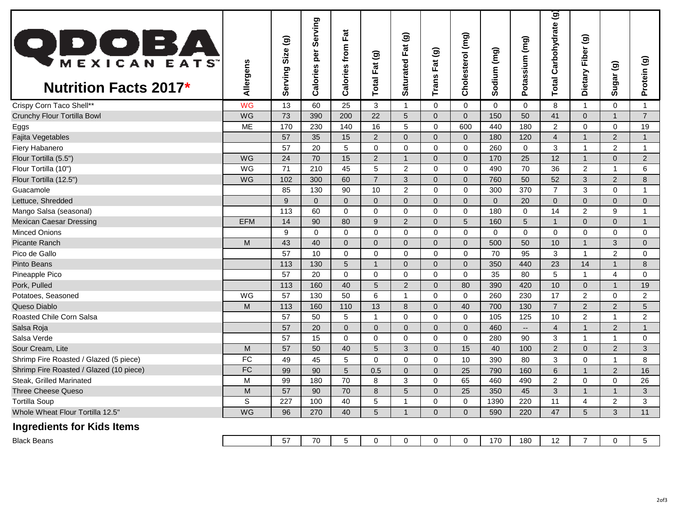| <b>QDOBA</b><br><b>Nutrition Facts 2017*</b> | Allergens  | ම<br>Size<br>erving<br>ທັ | Serving<br>per<br>Calories | Fat<br>Calories from | Total Fat (g)   | Fat (g)<br>Saturated | $\widehat{\mathbf{e}}$<br>$\overline{a}$<br>ш.<br>Trans | Cholesterol (mg) | (mg)<br>odium<br>ທັ | (mg)<br>Potassium | $\ddot{\mathbf{e}}$<br>Carbohydrate<br>Total | Dietary Fiber (g) | Sugar <sub>(g)</sub>    | Protein (g)              |
|----------------------------------------------|------------|---------------------------|----------------------------|----------------------|-----------------|----------------------|---------------------------------------------------------|------------------|---------------------|-------------------|----------------------------------------------|-------------------|-------------------------|--------------------------|
| Crispy Corn Taco Shell**                     | <b>WG</b>  | 13                        | 60                         | 25                   | 3               | $\mathbf 1$          | 0                                                       | 0                | $\Omega$            | 0                 | 8                                            | 1                 | $\mathbf 0$             |                          |
| <b>Crunchy Flour Tortilla Bowl</b>           | WG         | 73                        | 390                        | 200                  | 22              | 5                    | $\overline{0}$                                          | $\overline{0}$   | 150                 | 50                | 41                                           | $\overline{0}$    | $\overline{1}$          | $\overline{7}$           |
| Eggs                                         | ME         | 170                       | 230                        | 140                  | 16              | 5                    | $\Omega$                                                | 600              | 440                 | 180               | $\overline{2}$                               | $\mathbf 0$       | $\mathbf 0$             | 19                       |
| Fajita Vegetables                            |            | 57                        | 35                         | 15                   | 2 <sup>1</sup>  | $\Omega$             | $\Omega$                                                | $\overline{0}$   | 180                 | 120               | $\overline{4}$                               | $\mathbf{1}$      | $\overline{2}$          | 1                        |
| Fiery Habanero                               |            | 57                        | 20                         | 5                    | $\mathbf 0$     | $\Omega$             | $\Omega$                                                | $\Omega$         | 260                 | $\mathbf{0}$      | 3                                            | -1                | $\overline{2}$          | $\overline{\phantom{a}}$ |
| Flour Tortilla (5.5")                        | WG         | 24                        | 70                         | 15                   | $\overline{2}$  | -1                   | 0                                                       | $\overline{0}$   | 170                 | 25                | 12                                           | $\mathbf{1}$      | $\Omega$                | 2                        |
| Flour Tortilla (10")                         | WG         | 71                        | 210                        | 45                   | 5               | 2                    | 0                                                       | $\mathbf 0$      | 490                 | 70                | 36                                           | $\overline{2}$    | 1                       | 6                        |
| Flour Tortilla (12.5")                       | WG         | 102                       | 300                        | 60                   | $\overline{7}$  | 3                    | $\overline{0}$                                          | $\overline{0}$   | 760                 | 50                | 52                                           | 3                 | $\overline{2}$          | 8                        |
| Guacamole                                    |            | 85                        | 130                        | 90                   | 10              | $\overline{2}$       | $\Omega$                                                | $\Omega$         | 300                 | 370               | $\overline{7}$                               | 3                 | $\Omega$                |                          |
| Lettuce, Shredded                            |            | 9                         | $\overline{0}$             | $\mathbf{0}$         | $\overline{0}$  | $\Omega$             | $\Omega$                                                | $\overline{0}$   | $\Omega$            | 20                | $\overline{0}$                               | $\overline{0}$    | $\overline{0}$          | $\overline{0}$           |
| Mango Salsa (seasonal)                       |            | 113                       | 60                         | 0                    | 0               | 0                    | $\Omega$                                                | 0                | 180                 | $\mathbf 0$       | 14                                           | $\overline{2}$    | 9                       |                          |
| <b>Mexican Caesar Dressing</b>               | <b>EFM</b> | 14                        | 90                         | 80                   | 9               | $\overline{2}$       | $\overline{0}$                                          | 5                | 160                 | 5                 | -1                                           | $\overline{0}$    | $\mathbf{0}$            | $\mathbf{1}$             |
| <b>Minced Onions</b>                         |            | 9                         | $\Omega$                   | $\mathbf 0$          | $\mathbf 0$     | $\Omega$             | $\Omega$                                                | $\mathbf 0$      | $\Omega$            | $\overline{0}$    | $\Omega$                                     | $\mathbf 0$       | $\Omega$                | $\Omega$                 |
| <b>Picante Ranch</b>                         | M          | 43                        | 40                         | $\mathbf 0$          | $\overline{0}$  | $\Omega$             | $\Omega$                                                | $\Omega$         | 500                 | 50                | 10                                           | $\mathbf{1}$      | 3                       | 0                        |
| Pico de Gallo                                |            | 57                        | 10                         | $\mathbf 0$          | $\mathbf 0$     | $\Omega$             | $\Omega$                                                | $\Omega$         | 70                  | 95                | 3                                            | -1                | $\overline{2}$          | $\Omega$                 |
| <b>Pinto Beans</b>                           |            | 113                       | 130                        | $\overline{5}$       | -1              | $\Omega$             | 0                                                       | $\overline{0}$   | 350                 | 440               | 23                                           | 14                | 1                       | 8                        |
| Pineapple Pico                               |            | 57                        | 20                         | $\mathbf 0$          | $\mathbf 0$     | $\Omega$             | $\mathbf 0$                                             | $\mathbf 0$      | 35                  | 80                | 5                                            | $\mathbf{1}$      | $\overline{\mathbf{4}}$ | 0                        |
| Pork, Pulled                                 |            | 113                       | 160                        | 40                   | $5\overline{)}$ | $\overline{2}$       | $\Omega$                                                | 80               | 390                 | 420               | 10                                           | $\overline{0}$    |                         | 19                       |
| Potatoes, Seasoned                           | <b>WG</b>  | 57                        | 130                        | 50                   | 6               |                      | $\Omega$                                                | $\mathbf{0}$     | 260                 | 230               | 17                                           | $\overline{2}$    | $\Omega$                | $\overline{2}$           |
| Queso Diablo                                 | M          | 113                       | 160                        | 110                  | 13              | 8                    | $\overline{0}$                                          | 40               | 700                 | 130               | $\overline{7}$                               | $\overline{2}$    | $\overline{2}$          | 5                        |
| Roasted Chile Corn Salsa                     |            | 57                        | 50                         | 5                    | $\mathbf 1$     | 0                    | $\mathbf 0$                                             | 0                | 105                 | 125               | 10                                           | $\overline{2}$    | $\mathbf 1$             | $\overline{2}$           |
| Salsa Roja                                   |            | 57                        | 20                         | $\overline{0}$       | $\overline{0}$  | $\overline{0}$       | $\overline{0}$                                          | $\mathbf 0$      | 460                 | --                | $\overline{4}$                               | $\mathbf{1}$      | $\overline{2}$          | $\mathbf 1$              |
| Salsa Verde                                  |            | 57                        | 15                         | $\boldsymbol{0}$     | 0               | 0                    | $\mathbf 0$                                             | $\pmb{0}$        | 280                 | 90                | $\sqrt{3}$                                   | $\mathbf 1$       | 1                       | $\mathbf 0$              |
| Sour Cream, Lite                             | M          | 57                        | 50                         | 40                   | $5\overline{)}$ | 3                    | 0                                                       | 15               | 40                  | 100               | $\overline{2}$                               | $\overline{0}$    | 2                       | 3                        |
| Shrimp Fire Roasted / Glazed (5 piece)       | <b>FC</b>  | 49                        | 45                         | $\sqrt{5}$           | $\mathbf 0$     | $\mathbf 0$          | 0                                                       | 10               | 390                 | 80                | $\mathbf{3}$                                 | $\mathbf 0$       |                         | 8                        |
| Shrimp Fire Roasted / Glazed (10 piece)      | <b>FC</b>  | 99                        | 90                         | $5\phantom{.0}$      | 0.5             | $\mathbf{0}$         | 0                                                       | 25               | 790                 | 160               | $6\phantom{1}6$                              |                   | $\overline{2}$          | 16                       |
| Steak, Grilled Marinated                     | M          | 99                        | 180                        | 70                   | 8               | 3                    | $\mathbf 0$                                             | 65               | 460                 | 490               | 2                                            | $\mathbf 0$       | 0                       | 26                       |
| Three Cheese Queso                           | M          | 57                        | 90                         | 70                   | $\bf 8$         | 5                    | $\Omega$                                                | 25               | 350                 | 45                | 3                                            | $\overline{1}$    |                         | 3                        |
| <b>Tortilla Soup</b>                         | S          | 227                       | 100                        | 40                   | 5               |                      | 0                                                       | 0                | 1390                | 220               | 11                                           | 4                 | $\overline{2}$          | 3                        |
| Whole Wheat Flour Tortilla 12.5"             | WG         | 96                        | 270                        | 40                   | 5 <sup>5</sup>  | 1                    | $\overline{0}$                                          | $\overline{0}$   | 590                 | 220               | 47                                           | 5 <sup>5</sup>    | 3                       | 11                       |
| <b>Ingredients for Kids Items</b>            |            |                           |                            |                      |                 |                      |                                                         |                  |                     |                   |                                              |                   |                         |                          |
| <b>Black Beans</b>                           |            | 57                        | 70                         | $5\phantom{.0}$      | 0               | 0                    | 0                                                       | 0                | 170                 | 180               | 12                                           | $\overline{7}$    | 0                       | 5 <sub>5</sub>           |